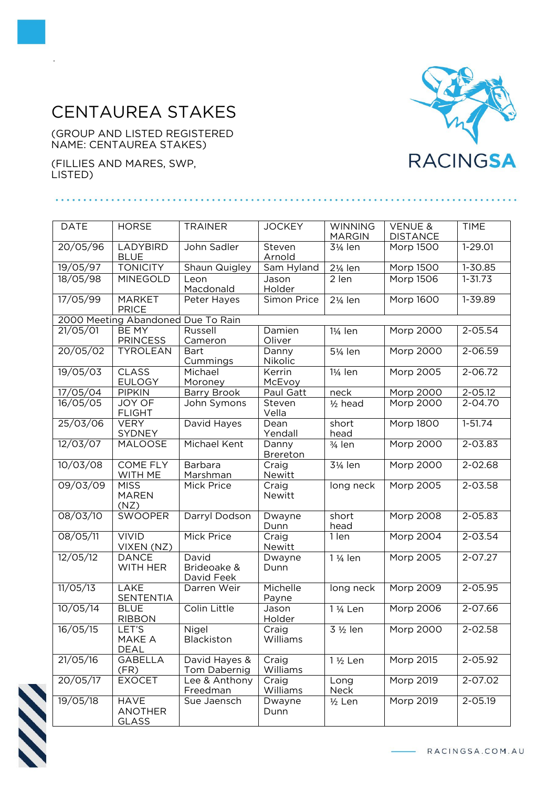## CENTAUREA STAKES

(GROUP AND LISTED REGISTERED NAME: CENTAUREA STAKES)

(FILLIES AND MARES, SWP, LISTED)

.



| <b>DATE</b>                        | <b>HORSE</b>                           | <b>TRAINER</b>                     | <b>JOCKEY</b>            | <b>WINNING</b><br><b>MARGIN</b> | <b>VENUE &amp;</b><br><b>DISTANCE</b> | <b>TIME</b> |  |  |  |  |
|------------------------------------|----------------------------------------|------------------------------------|--------------------------|---------------------------------|---------------------------------------|-------------|--|--|--|--|
| 20/05/96                           | LADYBIRD<br><b>BLUE</b>                | John Sadler                        | Steven<br>Arnold         | 31/ <sub>4</sub> len            | Morp 1500                             | $1 - 29.01$ |  |  |  |  |
| 19/05/97                           | <b>TONICITY</b>                        | Shaun Quigley                      | Sam Hyland               | $2\frac{1}{4}$ len              | <b>Morp 1500</b>                      | 1-30.85     |  |  |  |  |
| 18/05/98                           | <b>MINEGOLD</b>                        | Leon<br>Macdonald                  | Jason<br>Holder          | 2 len                           | <b>Morp 1506</b>                      | $1 - 31.73$ |  |  |  |  |
| 17/05/99                           | <b>MARKET</b><br><b>PRICE</b>          | Peter Hayes                        | Simon Price              | 21/ <sub>4</sub> len            | Morp 1600                             | 1-39.89     |  |  |  |  |
| 2000 Meeting Abandoned Due To Rain |                                        |                                    |                          |                                 |                                       |             |  |  |  |  |
| 21/05/01                           | <b>BE MY</b><br><b>PRINCESS</b>        | Russell<br>Cameron                 | Damien<br>Oliver         | 11/ <sub>4</sub> len            | <b>Morp 2000</b>                      | 2-05.54     |  |  |  |  |
| 20/05/02                           | <b>TYROLEAN</b>                        | <b>Bart</b><br>Cummings            | Danny<br>Nikolic         | 51/ <sub>4</sub> len            | Morp 2000                             | $2 - 06.59$ |  |  |  |  |
| 19/05/03                           | <b>CLASS</b><br><b>EULOGY</b>          | Michael<br>Moroney                 | Kerrin<br>McEvoy         | 11/ <sub>4</sub> len            | Morp 2005                             | $2 - 06.72$ |  |  |  |  |
| 17/05/04                           | <b>PIPKIN</b>                          | <b>Barry Brook</b>                 | Paul Gatt                | neck                            | Morp 2000                             | 2-05.12     |  |  |  |  |
| 16/05/05                           | <b>JOY OF</b><br><b>FLIGHT</b>         | John Symons                        | Steven<br>Vella          | $1/2$ head                      | <b>Morp 2000</b>                      | 2-04.70     |  |  |  |  |
| 25/03/06                           | <b>VERY</b><br>SYDNEY                  | David Hayes                        | Dean<br>Yendall          | short<br>head                   | <b>Morp 1800</b>                      | $1-51.74$   |  |  |  |  |
| 12/03/07                           | MALOOSE                                | Michael Kent                       | Danny<br><b>Brereton</b> | $\frac{3}{4}$ len               | <b>Morp 2000</b>                      | $2 - 03.83$ |  |  |  |  |
| 10/03/08                           | <b>COME FLY</b><br>WITH ME             | Barbara<br>Marshman                | Craig<br>Newitt          | 31/ <sub>4</sub> len            | Morp 2000                             | 2-02.68     |  |  |  |  |
| 09/03/09                           | <b>MISS</b><br><b>MAREN</b><br>(NZ)    | Mick Price                         | Craig<br>Newitt          | long neck                       | Morp 2005                             | 2-03.58     |  |  |  |  |
| 08/03/10                           | <b>SWOOPER</b>                         | Darryl Dodson                      | Dwayne<br>Dunn           | short<br>head                   | Morp 2008                             | 2-05.83     |  |  |  |  |
| 08/05/11                           | <b>VIVID</b><br>VIXEN (NZ)             | Mick Price                         | Craig<br>Newitt          | 1 len                           | Morp 2004                             | $2 - 03.54$ |  |  |  |  |
| 12/05/12                           | <b>DANCE</b><br>WITH HER               | David<br>Brideoake &<br>David Feek | Dwayne<br>Dunn           | 1 1/ <sub>4</sub> len           | Morp 2005                             | 2-07.27     |  |  |  |  |
| 11/05/13                           | <b>LAKE</b><br><b>SENTENTIA</b>        | Darren Weir                        | Michelle<br>Payne        | long neck                       | <b>Morp 2009</b>                      | 2-05.95     |  |  |  |  |
| 10/05/14                           | <b>BLUE</b><br><b>RIBBON</b>           | Colin Little                       | Jason<br>Holder          | 1 1/ <sub>4</sub> Len           | Morp 2006                             | 2-07.66     |  |  |  |  |
| 16/05/15                           | LET'S<br>MAKE A<br><b>DEAL</b>         | <b>Nigel</b><br>Blackiston         | Craig<br>Williams        | 3 1/2 len                       | Morp 2000                             | $2 - 02.58$ |  |  |  |  |
| $21/05/\overline{16}$              | <b>GABELLA</b><br>(FR)                 | David Hayes &<br>Tom Dabernig      | Craig<br>Williams        | $1\frac{1}{2}$ Len              | Morp 2015                             | 2-05.92     |  |  |  |  |
| 20/05/17                           | <b>EXOCET</b>                          | Lee & Anthony<br>Freedman          | Craig<br>Williams        | Long<br>Neck                    | Morp 2019                             | 2-07.02     |  |  |  |  |
| 19/05/18                           | <b>HAVE</b><br><b>ANOTHER</b><br>GLASS | Sue Jaensch                        | Dwayne<br>Dunn           | $\frac{1}{2}$ Len               | Morp 2019                             | 2-05.19     |  |  |  |  |